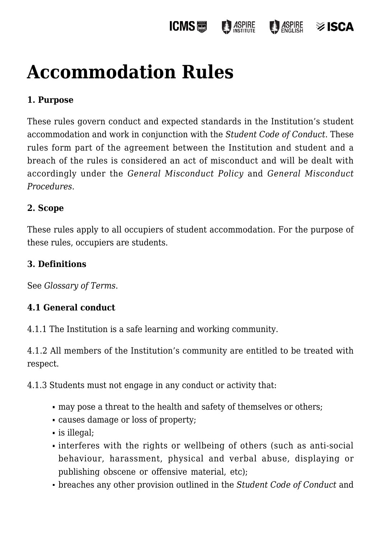#### **ICMS圖 ASPIRE**  $\frac{1}{2}$  ASPIRE isc∆≋

# **[Accommodation Rules](https://policies.icms.edu.au/accommodation-rules/)**

# **1. Purpose**

These rules govern conduct and expected standards in the Institution's student accommodation and work in conjunction with the *Student Code of Conduct*. These rules form part of the agreement between the Institution and student and a breach of the rules is considered an act of misconduct and will be dealt with accordingly under the *General Misconduct Policy* and *General Misconduct Procedures*.

#### **2. Scope**

These rules apply to all occupiers of student accommodation. For the purpose of these rules, occupiers are students.

#### **3. Definitions**

See *Glossary of Terms*.

#### **4.1 General conduct**

4.1.1 The Institution is a safe learning and working community.

4.1.2 All members of the Institution's community are entitled to be treated with respect.

4.1.3 Students must not engage in any conduct or activity that:

- may pose a threat to the health and safety of themselves or others;
- causes damage or loss of property;
- is illegal;
- interferes with the rights or wellbeing of others (such as anti-social behaviour, harassment, physical and verbal abuse, displaying or publishing obscene or offensive material, etc);
- breaches any other provision outlined in the *Student Code of Conduct* and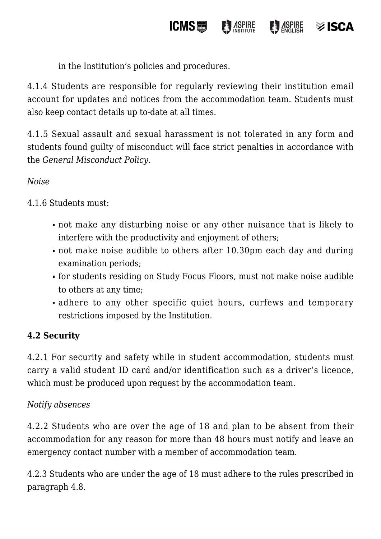in the Institution's policies and procedures.

4.1.4 Students are responsible for regularly reviewing their institution email account for updates and notices from the accommodation team. Students must also keep contact details up to-date at all times.

**ICMS圖** 

**ASPIRE** 

*ASPIRE* 

 $\otimes$  ISCA

4.1.5 Sexual assault and sexual harassment is not tolerated in any form and students found guilty of misconduct will face strict penalties in accordance with the *General Misconduct Policy*.

# *Noise*

4.1.6 Students must:

- not make any disturbing noise or any other nuisance that is likely to interfere with the productivity and enjoyment of others;
- not make noise audible to others after 10.30pm each day and during examination periods;
- for students residing on Study Focus Floors, must not make noise audible to others at any time;
- adhere to any other specific quiet hours, curfews and temporary restrictions imposed by the Institution.

# **4.2 Security**

4.2.1 For security and safety while in student accommodation, students must carry a valid student ID card and/or identification such as a driver's licence, which must be produced upon request by the accommodation team.

#### *Notify absences*

4.2.2 Students who are over the age of 18 and plan to be absent from their accommodation for any reason for more than 48 hours must notify and leave an emergency contact number with a member of accommodation team.

4.2.3 Students who are under the age of 18 must adhere to the rules prescribed in paragraph 4.8.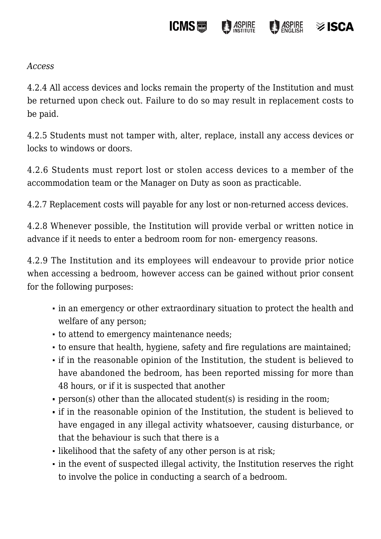#### **ICMS圖 ASPIRE**  $\frac{1}{2}$  ASPIRE  $\otimes$  ISCA

*Access*

4.2.4 All access devices and locks remain the property of the Institution and must be returned upon check out. Failure to do so may result in replacement costs to be paid.

4.2.5 Students must not tamper with, alter, replace, install any access devices or locks to windows or doors.

4.2.6 Students must report lost or stolen access devices to a member of the accommodation team or the Manager on Duty as soon as practicable.

4.2.7 Replacement costs will payable for any lost or non-returned access devices.

4.2.8 Whenever possible, the Institution will provide verbal or written notice in advance if it needs to enter a bedroom room for non- emergency reasons.

4.2.9 The Institution and its employees will endeavour to provide prior notice when accessing a bedroom, however access can be gained without prior consent for the following purposes:

- in an emergency or other extraordinary situation to protect the health and welfare of any person;
- to attend to emergency maintenance needs;
- to ensure that health, hygiene, safety and fire regulations are maintained;
- if in the reasonable opinion of the Institution, the student is believed to have abandoned the bedroom, has been reported missing for more than 48 hours, or if it is suspected that another
- person(s) other than the allocated student(s) is residing in the room;
- if in the reasonable opinion of the Institution, the student is believed to have engaged in any illegal activity whatsoever, causing disturbance, or that the behaviour is such that there is a
- likelihood that the safety of any other person is at risk;
- in the event of suspected illegal activity, the Institution reserves the right to involve the police in conducting a search of a bedroom.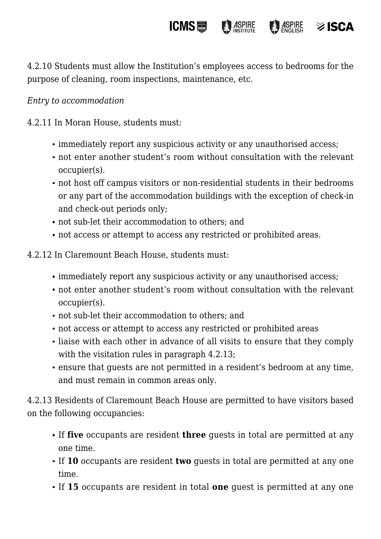4.2.10 Students must allow the Institution's employees access to bedrooms for the purpose of cleaning, room inspections, maintenance, etc.

**ICMS圖** 

**ASPIRE** 

 $\frac{1}{2}$   $\frac{1}{2}$   $\frac{1}{2}$   $\frac{1}{2}$   $\frac{1}{2}$   $\frac{1}{2}$   $\frac{1}{2}$   $\frac{1}{2}$   $\frac{1}{2}$   $\frac{1}{2}$   $\frac{1}{2}$   $\frac{1}{2}$   $\frac{1}{2}$   $\frac{1}{2}$   $\frac{1}{2}$   $\frac{1}{2}$   $\frac{1}{2}$   $\frac{1}{2}$   $\frac{1}{2}$   $\frac{1}{2}$   $\frac{1}{2}$   $\frac{1}{2}$ 

 $\geq$  ISCA

### *Entry to accommodation*

4.2.11 In Moran House, students must:

- immediately report any suspicious activity or any unauthorised access;
- not enter another student's room without consultation with the relevant occupier(s).
- not host off campus visitors or non-residential students in their bedrooms or any part of the accommodation buildings with the exception of check-in and check-out periods only;
- not sub-let their accommodation to others; and
- not access or attempt to access any restricted or prohibited areas.
- 4.2.12 In Claremount Beach House, students must:
	- immediately report any suspicious activity or any unauthorised access;
	- not enter another student's room without consultation with the relevant occupier(s).
	- not sub-let their accommodation to others; and
	- not access or attempt to access any restricted or prohibited areas
	- liaise with each other in advance of all visits to ensure that they comply with the visitation rules in paragraph 4.2.13;
	- ensure that guests are not permitted in a resident's bedroom at any time, and must remain in common areas only.

4.2.13 Residents of Claremount Beach House are permitted to have visitors based on the following occupancies:

- If **five** occupants are resident **three** guests in total are permitted at any one time.
- If **10** occupants are resident **two** guests in total are permitted at any one time.
- If **15** occupants are resident in total **one** guest is permitted at any one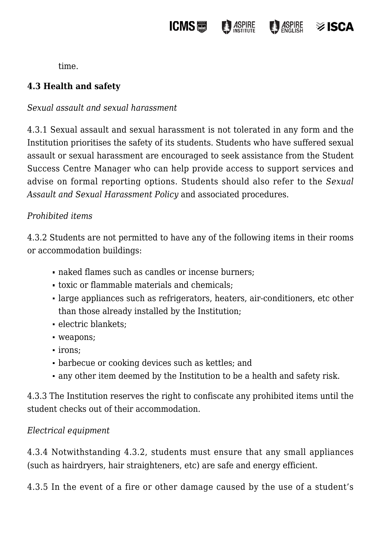

time.

# **4.3 Health and safety**

#### *Sexual assault and sexual harassment*

4.3.1 Sexual assault and sexual harassment is not tolerated in any form and the Institution prioritises the safety of its students. Students who have suffered sexual assault or sexual harassment are encouraged to seek assistance from the Student Success Centre Manager who can help provide access to support services and advise on formal reporting options. Students should also refer to the *Sexual Assault and Sexual Harassment Policy* and associated procedures.

#### *Prohibited items*

4.3.2 Students are not permitted to have any of the following items in their rooms or accommodation buildings:

- naked flames such as candles or incense burners:
- toxic or flammable materials and chemicals;
- large appliances such as refrigerators, heaters, air-conditioners, etc other than those already installed by the Institution;
- electric blankets;
- weapons;
- irons;
- barbecue or cooking devices such as kettles; and
- any other item deemed by the Institution to be a health and safety risk.

4.3.3 The Institution reserves the right to confiscate any prohibited items until the student checks out of their accommodation.

#### *Electrical equipment*

4.3.4 Notwithstanding 4.3.2, students must ensure that any small appliances (such as hairdryers, hair straighteners, etc) are safe and energy efficient.

4.3.5 In the event of a fire or other damage caused by the use of a student's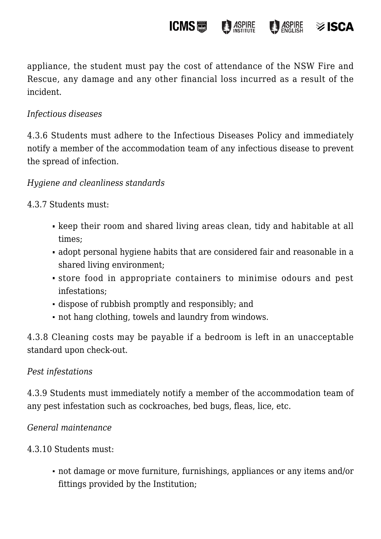appliance, the student must pay the cost of attendance of the NSW Fire and Rescue, any damage and any other financial loss incurred as a result of the incident.

**ICMS** 

**ASPIRE** 

 $\otimes$  ISCA

**ASPIRE** 

### *Infectious diseases*

4.3.6 Students must adhere to the Infectious Diseases Policy and immediately notify a member of the accommodation team of any infectious disease to prevent the spread of infection.

### *Hygiene and cleanliness standards*

4.3.7 Students must:

- keep their room and shared living areas clean, tidy and habitable at all times;
- adopt personal hygiene habits that are considered fair and reasonable in a shared living environment;
- store food in appropriate containers to minimise odours and pest infestations;
- dispose of rubbish promptly and responsibly; and
- not hang clothing, towels and laundry from windows.

4.3.8 Cleaning costs may be payable if a bedroom is left in an unacceptable standard upon check-out.

#### *Pest infestations*

4.3.9 Students must immediately notify a member of the accommodation team of any pest infestation such as cockroaches, bed bugs, fleas, lice, etc.

*General maintenance*

4.3.10 Students must:

not damage or move furniture, furnishings, appliances or any items and/or fittings provided by the Institution;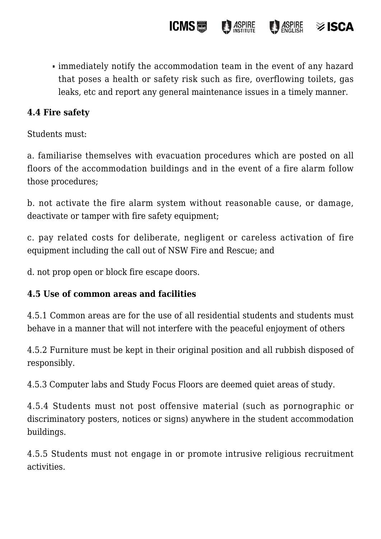immediately notify the accommodation team in the event of any hazard that poses a health or safety risk such as fire, overflowing toilets, gas leaks, etc and report any general maintenance issues in a timely manner.

**ICMS圖** 

**B** ASPIRE

 $\otimes$  ISCA

**ASPIRE** 

### **4.4 Fire safety**

Students must:

a. familiarise themselves with evacuation procedures which are posted on all floors of the accommodation buildings and in the event of a fire alarm follow those procedures;

b. not activate the fire alarm system without reasonable cause, or damage, deactivate or tamper with fire safety equipment;

c. pay related costs for deliberate, negligent or careless activation of fire equipment including the call out of NSW Fire and Rescue; and

d. not prop open or block fire escape doors.

#### **4.5 Use of common areas and facilities**

4.5.1 Common areas are for the use of all residential students and students must behave in a manner that will not interfere with the peaceful enjoyment of others

4.5.2 Furniture must be kept in their original position and all rubbish disposed of responsibly.

4.5.3 Computer labs and Study Focus Floors are deemed quiet areas of study.

4.5.4 Students must not post offensive material (such as pornographic or discriminatory posters, notices or signs) anywhere in the student accommodation buildings.

4.5.5 Students must not engage in or promote intrusive religious recruitment activities.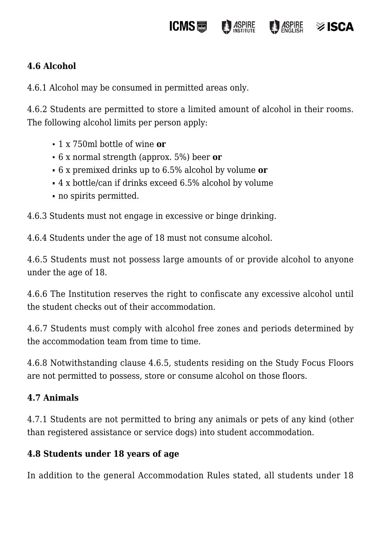#### **ICMS圖 ASPIRE ASPIRE** isca≋

# **4.6 Alcohol**

4.6.1 Alcohol may be consumed in permitted areas only.

4.6.2 Students are permitted to store a limited amount of alcohol in their rooms. The following alcohol limits per person apply:

- 1 x 750ml bottle of wine **or**
- 6 x normal strength (approx. 5%) beer **or**
- 6 x premixed drinks up to 6.5% alcohol by volume **or**
- 4 x bottle/can if drinks exceed 6.5% alcohol by volume
- no spirits permitted.

4.6.3 Students must not engage in excessive or binge drinking.

4.6.4 Students under the age of 18 must not consume alcohol.

4.6.5 Students must not possess large amounts of or provide alcohol to anyone under the age of 18.

4.6.6 The Institution reserves the right to confiscate any excessive alcohol until the student checks out of their accommodation.

4.6.7 Students must comply with alcohol free zones and periods determined by the accommodation team from time to time.

4.6.8 Notwithstanding clause 4.6.5, students residing on the Study Focus Floors are not permitted to possess, store or consume alcohol on those floors.

#### **4.7 Animals**

4.7.1 Students are not permitted to bring any animals or pets of any kind (other than registered assistance or service dogs) into student accommodation.

#### **4.8 Students under 18 years of age**

In addition to the general Accommodation Rules stated, all students under 18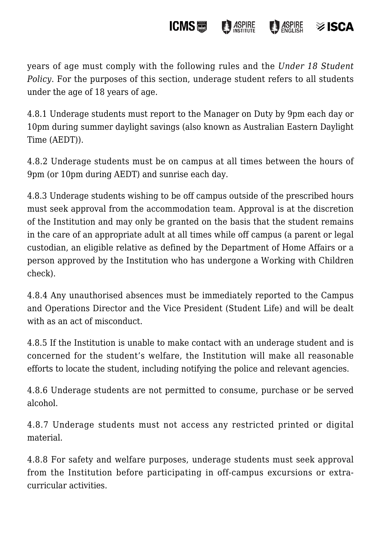#### **ICMS**圖  $\frac{1}{2}$   $\frac{1}{2}$   $\frac{1}{2}$   $\frac{1}{2}$   $\frac{1}{2}$   $\frac{1}{2}$   $\frac{1}{2}$   $\frac{1}{2}$   $\frac{1}{2}$   $\frac{1}{2}$   $\frac{1}{2}$   $\frac{1}{2}$   $\frac{1}{2}$   $\frac{1}{2}$   $\frac{1}{2}$   $\frac{1}{2}$   $\frac{1}{2}$   $\frac{1}{2}$   $\frac{1}{2}$   $\frac{1}{2}$   $\frac{1}{2}$   $\frac{1}{2}$  **ASPIRE**  $\otimes$  ISCA

years of age must comply with the following rules and the *Under 18 Student Policy*. For the purposes of this section, underage student refers to all students under the age of 18 years of age.

4.8.1 Underage students must report to the Manager on Duty by 9pm each day or 10pm during summer daylight savings (also known as Australian Eastern Daylight Time (AEDT)).

4.8.2 Underage students must be on campus at all times between the hours of 9pm (or 10pm during AEDT) and sunrise each day.

4.8.3 Underage students wishing to be off campus outside of the prescribed hours must seek approval from the accommodation team. Approval is at the discretion of the Institution and may only be granted on the basis that the student remains in the care of an appropriate adult at all times while off campus (a parent or legal custodian, an eligible relative as defined by the Department of Home Affairs or a person approved by the Institution who has undergone a Working with Children check).

4.8.4 Any unauthorised absences must be immediately reported to the Campus and Operations Director and the Vice President (Student Life) and will be dealt with as an act of misconduct.

4.8.5 If the Institution is unable to make contact with an underage student and is concerned for the student's welfare, the Institution will make all reasonable efforts to locate the student, including notifying the police and relevant agencies.

4.8.6 Underage students are not permitted to consume, purchase or be served alcohol.

4.8.7 Underage students must not access any restricted printed or digital material.

4.8.8 For safety and welfare purposes, underage students must seek approval from the Institution before participating in off-campus excursions or extracurricular activities.